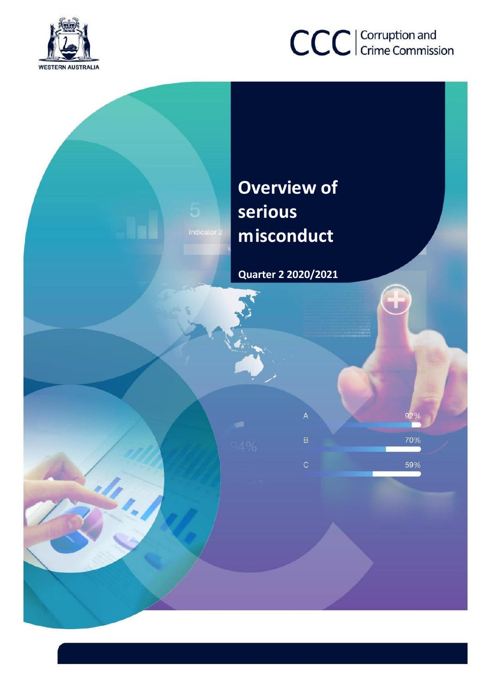



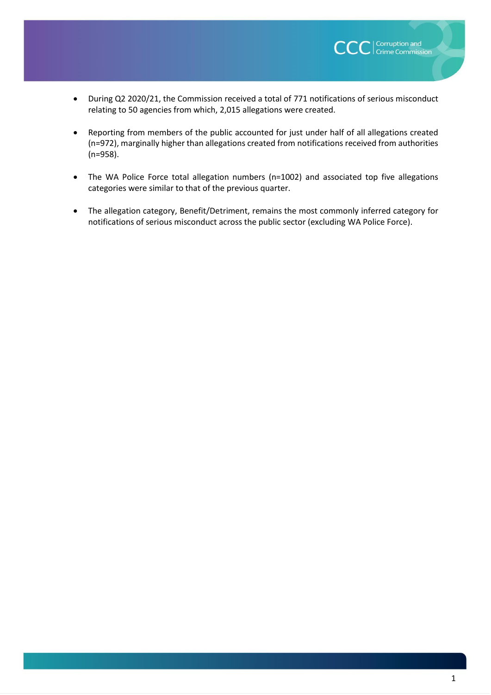

- During Q2 2020/21, the Commission received a total of 771 notifications of serious misconduct relating to 50 agencies from which, 2,015 allegations were created.
- Reporting from members of the public accounted for just under half of all allegations created (n=972), marginally higher than allegations created from notifications received from authorities (n=958).
- The WA Police Force total allegation numbers (n=1002) and associated top five allegations categories were similar to that of the previous quarter.
- The allegation category, Benefit/Detriment, remains the most commonly inferred category for notifications of serious misconduct across the public sector (excluding WA Police Force).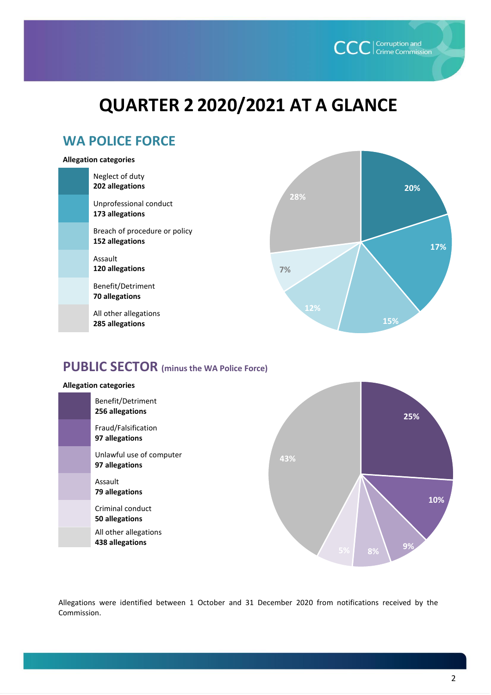

# **QUARTER 2 2020/2021 AT A GLANCE**

# **WA POLICE FORCE**

#### **Allegation categories**

| Neglect of duty<br>202 allegations               |     | 20% |
|--------------------------------------------------|-----|-----|
| Unprofessional conduct<br>173 allegations        | 28% |     |
| Breach of procedure or policy<br>152 allegations |     | 17% |
| Assault<br>120 allegations                       | 7%  |     |
| Benefit/Detriment<br>70 allegations              |     |     |
| All other allegations<br>285 allegations         | 12% | 15% |

## **PUBLIC SECTOR (minus the WA Police Force)**



Allegations were identified between 1 October and 31 December 2020 from notifications received by the Commission.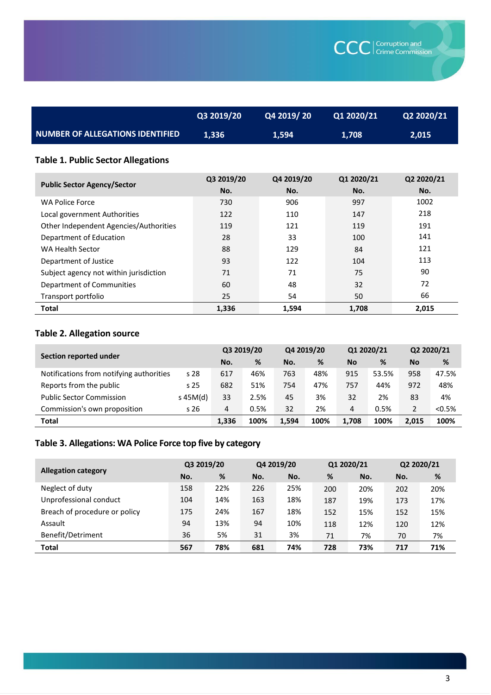|                                         | Q3 2019/20 | Q4 2019/20 | Q1 2020/21 | <b>Q2 2020/21</b> |
|-----------------------------------------|------------|------------|------------|-------------------|
| <b>NUMBER OF ALLEGATIONS IDENTIFIED</b> | 1.336      | 1.594      | 1.708      | 2.015             |

### **Table 1. Public Sector Allegations**

| <b>Public Sector Agency/Sector</b>     | Q3 2019/20<br>No. | Q4 2019/20<br>No. | Q1 2020/21<br>No. | Q2 2020/21<br>No. |
|----------------------------------------|-------------------|-------------------|-------------------|-------------------|
| <b>WA Police Force</b>                 | 730               | 906               | 997               | 1002              |
| Local government Authorities           | 122               | 110               | 147               | 218               |
| Other Independent Agencies/Authorities | 119               | 121               | 119               | 191               |
| Department of Education                | 28                | 33                | 100               | 141               |
| WA Health Sector                       | 88                | 129               | 84                | 121               |
| Department of Justice                  | 93                | 122               | 104               | 113               |
| Subject agency not within jurisdiction | 71                | 71                | 75                | 90                |
| Department of Communities              | 60                | 48                | 32                | 72                |
| Transport portfolio                    | 25                | 54                | 50                | 66                |
| <b>Total</b>                           | 1,336             | 1,594             | 1,708             | 2,015             |

### **Table 2. Allegation source**

|                                          | Section reported under |       | Q3 2019/20 |       | Q4 2019/20 |           | Q1 2020/21 |           | Q2 2020/21 |
|------------------------------------------|------------------------|-------|------------|-------|------------|-----------|------------|-----------|------------|
|                                          |                        | No.   | %          | No.   | %          | <b>No</b> | %          | <b>No</b> | %          |
| Notifications from notifying authorities | s 28                   | 617   | 46%        | 763   | 48%        | 915       | 53.5%      | 958       | 47.5%      |
| Reports from the public                  | s <sub>25</sub>        | 682   | 51%        | 754   | 47%        | 757       | 44%        | 972       | 48%        |
| <b>Public Sector Commission</b>          | $s$ 45M(d)             | 33    | 2.5%       | 45    | 3%         | 32        | 2%         | 83        | 4%         |
| Commission's own proposition             | s <sub>26</sub>        | 4     | 0.5%       | 32    | 2%         | 4         | 0.5%       | 2         | < 0.5%     |
| <b>Total</b>                             |                        | 1.336 | 100%       | 1.594 | 100%       | 1.708     | 100%       | 2.015     | 100%       |

# **Table 3. Allegations: WA Police Force top five by category**

|                               | Q3 2019/20 |     | Q4 2019/20 |     | Q1 2020/21 |     | Q2 2020/21 |     |
|-------------------------------|------------|-----|------------|-----|------------|-----|------------|-----|
| <b>Allegation category</b>    | No.        | %   | No.        | No. | %          | No. | No.        | %   |
| Neglect of duty               | 158        | 22% | 226        | 25% | 200        | 20% | 202        | 20% |
| Unprofessional conduct        | 104        | 14% | 163        | 18% | 187        | 19% | 173        | 17% |
| Breach of procedure or policy | 175        | 24% | 167        | 18% | 152        | 15% | 152        | 15% |
| Assault                       | 94         | 13% | 94         | 10% | 118        | 12% | 120        | 12% |
| Benefit/Detriment             | 36         | 5%  | 31         | 3%  | 71         | 7%  | 70         | 7%  |
| <b>Total</b>                  | 567        | 78% | 681        | 74% | 728        | 73% | 717        | 71% |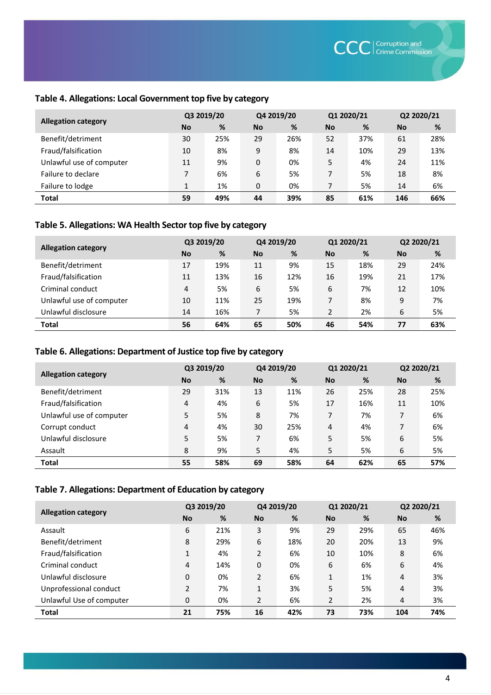### **Table 4. Allegations: Local Government top five by category**

|                            | Q3 2019/20 |     | Q4 2019/20 |     | Q1 2020/21 |     | Q2 2020/21 |     |
|----------------------------|------------|-----|------------|-----|------------|-----|------------|-----|
| <b>Allegation category</b> | <b>No</b>  | %   | <b>No</b>  | %   | <b>No</b>  | %   | <b>No</b>  | %   |
| Benefit/detriment          | 30         | 25% | 29         | 26% | 52         | 37% | 61         | 28% |
| Fraud/falsification        | 10         | 8%  | 9          | 8%  | 14         | 10% | 29         | 13% |
| Unlawful use of computer   | 11         | 9%  | 0          | 0%  | 5          | 4%  | 24         | 11% |
| Failure to declare         | 7          | 6%  | 6          | 5%  | 7          | 5%  | 18         | 8%  |
| Failure to lodge           | 1          | 1%  | 0          | 0%  | 7          | 5%  | 14         | 6%  |
| <b>Total</b>               | 59         | 49% | 44         | 39% | 85         | 61% | 146        | 66% |

#### **Table 5. Allegations: WA Health Sector top five by category**

|                            | Q3 2019/20 |     | Q4 2019/20 |     | Q1 2020/21 |     | Q2 2020/21 |     |
|----------------------------|------------|-----|------------|-----|------------|-----|------------|-----|
| <b>Allegation category</b> | <b>No</b>  | %   | <b>No</b>  | %   | <b>No</b>  | %   | <b>No</b>  | %   |
| Benefit/detriment          | 17         | 19% | 11         | 9%  | 15         | 18% | 29         | 24% |
| Fraud/falsification        | 11         | 13% | 16         | 12% | 16         | 19% | 21         | 17% |
| Criminal conduct           | 4          | 5%  | 6          | 5%  | 6          | 7%  | 12         | 10% |
| Unlawful use of computer   | 10         | 11% | 25         | 19% | 7          | 8%  | 9          | 7%  |
| Unlawful disclosure        | 14         | 16% | 7          | 5%  | 2          | 2%  | 6          | 5%  |
| <b>Total</b>               | 56         | 64% | 65         | 50% | 46         | 54% | 77         | 63% |

### **Table 6. Allegations: Department of Justice top five by category**

|                            | Q3 2019/20 |     |           | Q4 2019/20 |           | Q1 2020/21 |           | Q2 2020/21 |
|----------------------------|------------|-----|-----------|------------|-----------|------------|-----------|------------|
| <b>Allegation category</b> | <b>No</b>  | %   | <b>No</b> | %          | <b>No</b> | %          | <b>No</b> | %          |
| Benefit/detriment          | 29         | 31% | 13        | 11%        | 26        | 25%        | 28        | 25%        |
| Fraud/falsification        | 4          | 4%  | 6         | 5%         | 17        | 16%        | 11        | 10%        |
| Unlawful use of computer   | 5          | 5%  | 8         | 7%         | 7         | 7%         | 7         | 6%         |
| Corrupt conduct            | 4          | 4%  | 30        | 25%        | 4         | 4%         | 7         | 6%         |
| Unlawful disclosure        | 5          | 5%  | 7         | 6%         | 5         | 5%         | 6         | 5%         |
| Assault                    | 8          | 9%  | 5         | 4%         | 5         | 5%         | 6         | 5%         |
| <b>Total</b>               | 55         | 58% | 69        | 58%        | 64        | 62%        | 65        | 57%        |

#### **Table 7. Allegations: Department of Education by category**

|                            | Q3 2019/20     |     | Q4 2019/20   |     | Q1 2020/21     |     | Q2 2020/21 |     |
|----------------------------|----------------|-----|--------------|-----|----------------|-----|------------|-----|
| <b>Allegation category</b> | <b>No</b>      | %   | <b>No</b>    | %   | <b>No</b>      | %   | <b>No</b>  | %   |
| Assault                    | 6              | 21% | 3            | 9%  | 29             | 29% | 65         | 46% |
| Benefit/detriment          | 8              | 29% | 6            | 18% | 20             | 20% | 13         | 9%  |
| Fraud/falsification        | $\mathbf{1}$   | 4%  | 2            | 6%  | 10             | 10% | 8          | 6%  |
| Criminal conduct           | $\overline{4}$ | 14% | 0            | 0%  | 6              | 6%  | 6          | 4%  |
| Unlawful disclosure        | $\Omega$       | 0%  | 2            | 6%  | 1              | 1%  | 4          | 3%  |
| Unprofessional conduct     | $\overline{2}$ | 7%  | $\mathbf{1}$ | 3%  | 5              | 5%  | 4          | 3%  |
| Unlawful Use of computer   | 0              | 0%  | 2            | 6%  | $\overline{2}$ | 2%  | 4          | 3%  |
| <b>Total</b>               | 21             | 75% | 16           | 42% | 73             | 73% | 104        | 74% |